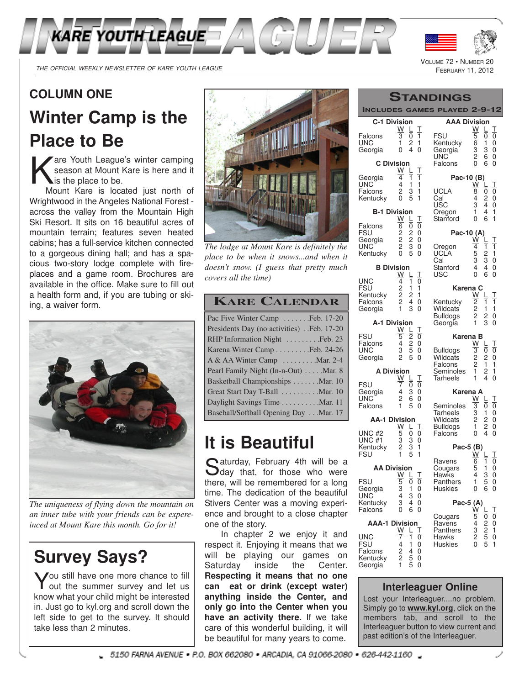



VOLUME 72 · NUMBER

## **COLUMN ONE**

# **Winter Camp is the Place to Be**

K are Youth League's winter camping season at Mount Kare is here and it is the place to be.

Mount Kare is located just north of Wrightwood in the Angeles National Forest across the valley from the Mountain High Ski Resort. It sits on 16 beautiful acres of mountain terrain; features seven heated cabins; has a full-service kitchen connected to a gorgeous dining hall; and has a spacious two-story lodge complete with fireplaces and a game room. Brochures are available in the office. Make sure to fill out a health form and, if you are tubing or skiing, a waiver form.



*The uniqueness of flying down the mountain on an inner tube with your friends can be expereinced at Mount Kare this month. Go for it!*

## **Survey Says?**

You still have one more chance to fill<br>Yout the summer survey and let us out the summer survey and let us know what your child might be interested in. Just go to kyl.org and scroll down the left side to get to the survey. It should take less than 2 minutes.



*The lodge at Mount Kare is definitely the place to be when it snows...and when it doesn't snow. (I guess that pretty much covers all the time)*

## **KARE CALENDAR**

## **It is Beautiful**

Saturday, February 4th will be a<br>Sday that, for those who were aturday, February 4th will be a there, will be remembered for a long time. The dedication of the beautiful Stivers Center was a moving experience and brought to a close chapter one of the story.

In chapter 2 we enjoy it and respect it. Enjoying it means that we will be playing our games on Saturday inside the Center. **Respecting it means that no one can eat or drink (except water) anything inside the Center, and only go into the Center when you have an activity there.** If we take care of this wonderful building, it will be beautiful for many years to come.

|                                    |                                     |                     |             | <b>TANDINGS</b>                                                                                                               |  |
|------------------------------------|-------------------------------------|---------------------|-------------|-------------------------------------------------------------------------------------------------------------------------------|--|
| <b>INCLUDES</b>                    |                                     |                     |             | <b>GAMES PLAYED 2-9-12</b>                                                                                                    |  |
| <b>C-1 Division</b>                | W                                   | L                   | Τ           | <b>AAA Division</b><br>W<br>L<br>Τ                                                                                            |  |
| Falcons<br>UNC<br>Georgia          | $\overline{\overline{3}}$<br>1<br>0 | 0<br>2<br>4         | 1<br>1<br>0 | <b>FSU</b><br>$\overline{5}$<br>0<br>0<br>6<br>Kentucky<br>1<br>0<br>3<br>0<br>Georgia<br>3<br>$\frac{1}{2}$<br>UNC<br>6<br>0 |  |
| <b>C</b> Division                  |                                     |                     |             | 0<br>6<br>0<br>Falcons                                                                                                        |  |
| Georgia                            | W<br>4                              | L<br>1              | Τ<br>1      | Pac-10 (B)                                                                                                                    |  |
| UNC<br>Falcons<br>Kentucky         | 4<br>2<br>0                         | 1<br>3<br>5         | 1<br>1<br>1 | Τ<br>W<br>L<br>0<br>UCLA<br>8<br>0<br>Cal<br>4<br>2<br>0<br>3<br>4<br>USC<br>0                                                |  |
| <b>B-1 Division</b>                |                                     |                     |             | $\mathbf{1}$<br>4<br>1<br>Oregon                                                                                              |  |
| Falcons                            | W<br>6                              | L<br>Ō              | Τ<br>0      | 0<br>6<br>1<br>Stanford                                                                                                       |  |
| FSU<br>Georgia                     | $\overline{c}$<br>$\frac{1}{2}$     | $\overline{c}$      | 0<br>0      | Pac-10 (A)<br><u>W</u><br>T                                                                                                   |  |
| UNC<br>Kentucky                    | $\overline{c}$<br>0                 | $\frac{2}{3}$<br>5  | 0<br>0      | 4<br>1<br>1<br>Oregon<br>5<br>UCLA<br>2<br>1                                                                                  |  |
|                                    |                                     |                     |             | 3<br>3<br>Cal<br>0                                                                                                            |  |
| <b>B</b> Division                  | W                                   | L                   | Τ           | 4<br>Stanford<br>4<br>0<br>0<br>6<br>USC<br>0                                                                                 |  |
| UNC<br>FSU                         | 4<br>2                              | 1<br>1              | 0<br>1      | Karena C                                                                                                                      |  |
| Kentucky                           | 2                                   | 2                   | 1           | W<br>L<br>Τ                                                                                                                   |  |
| Falcons<br>Georgia                 | 2<br>1                              | 4<br>3              | 0<br>0      | $\overline{2}$<br>1<br>Kentucky<br>1<br>$\bar{2}$<br><b>Wildcats</b><br>1<br>1                                                |  |
| A-1 Division                       |                                     |                     |             | <b>Bulldogs</b><br>2<br>2<br>0<br>3<br>1<br>0<br>Georgia                                                                      |  |
| FSU                                | W                                   | L<br>$\overline{2}$ | Τ           |                                                                                                                               |  |
| Falcons                            | 5<br>4                              | $\frac{2}{5}$       | 0<br>0      | Karena B<br>W<br>L<br>Τ                                                                                                       |  |
| UNC<br>Georgia                     | 3<br>$\overline{c}$                 | 5                   | 0<br>0      | $\overline{3}$<br>Ō<br>0<br><b>Bulldogs</b><br>$\overline{c}$<br>Wildcats<br>2<br>0                                           |  |
| <b>A Division</b>                  |                                     |                     |             | $\overline{c}$<br>1<br>1<br>Falcons<br>1<br>2<br>1<br>Seminoles                                                               |  |
|                                    | W                                   | L                   | Τ           | 1<br>4<br>0<br>Tarheels                                                                                                       |  |
| <b>FSU</b><br>Georgia              | 7<br>4                              | 0<br>3              | 0<br>0      | Karena A                                                                                                                      |  |
| UNC<br>Falcons                     | 2<br>1                              | 6<br>5              | 0<br>0      | Τ<br>w<br>L<br>Seminoles<br>3<br>0<br>0                                                                                       |  |
|                                    |                                     |                     |             | <b>Tarheels</b><br>0<br>3<br>1                                                                                                |  |
| <b>AA-1 Division</b>               | W                                   | L                   | Τ           | $\overline{c}$<br>Wildcats<br>2<br>0<br>1<br>2<br><b>Bulldogs</b><br>0                                                        |  |
| UNC <sub>#2</sub><br><b>UNC #1</b> | 5<br>3<br>2                         | 0                   | 0<br>0      | 4<br>0<br>0<br>Falcons                                                                                                        |  |
| Kentucky                           |                                     | 3<br>5<br>5         | 1           | Pac-5 (B)                                                                                                                     |  |
| <b>FSU</b>                         |                                     |                     | 1           | W<br>Τ<br>6<br>0<br>1<br>Ravens                                                                                               |  |
| <b>AA Division</b>                 | W <sub>L</sub>                      |                     | Τ           | 5<br>1<br>0<br>Cougars<br>Hawks<br>4<br>3<br>0                                                                                |  |
| <b>FSU</b>                         |                                     | 0                   | 0           | 1<br>Panthers<br>5<br>0                                                                                                       |  |
| Georgia<br>UNC                     | $\frac{5}{3}$                       | 1<br>3              | 0<br>0      | 0<br>6<br>Huskies<br>0                                                                                                        |  |
| Kentucky<br>Falcons                | 3<br>0                              | 4<br>6              | 0<br>0      | Pac-5 (A)<br>Ŵ                                                                                                                |  |
|                                    |                                     |                     |             | $\frac{1}{0}$<br>5<br>0<br>Cougars<br>$\overline{4}$                                                                          |  |
| <b>AAA-1 Division</b>              | $\frac{W}{7}$                       | Ļ                   | Τ           | 2<br>2<br>5<br>$0$<br>$1$<br>$0$<br>Ravens<br>$\frac{3}{2}$<br>Panthers                                                       |  |
| UNC<br>FSU                         | 4                                   | ī<br>1              | 0<br>0      | Hawks<br>5<br>1<br><b>Huskies</b><br>0                                                                                        |  |
| Falcons                            | $\frac{2}{2}$                       | 4                   | 0           |                                                                                                                               |  |
| Kentucky<br>Georgia                | 1                                   | 5<br>5              | 0<br>0      |                                                                                                                               |  |
|                                    |                                     |                     |             |                                                                                                                               |  |

### **Interleaguer Online**

Lost your Interleaguer....no problem. Simply go to **www.kyl.org**, click on the members tab, and scroll to the Interleaguer button to view current and past edition's of the Interleaguer.